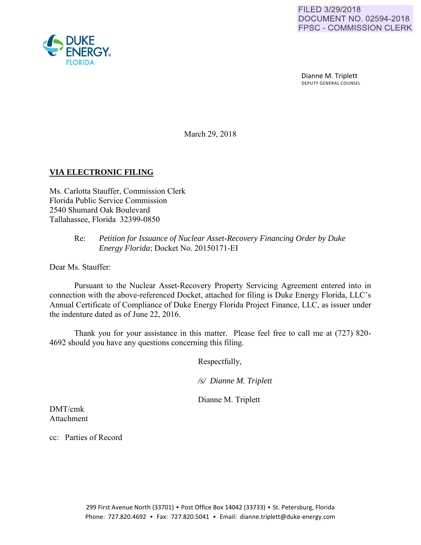Dianne M. Triplett DEPUTY GENERAL COUNSEL

March 29, 2018

# **VIA ELECTRONIC FILING**

Ms. Carlotta Stauffer, Commission Clerk Florida Public Service Commission 2540 Shumard Oak Boulevard Tallahassee, Florida 32399-0850

## Re: *Petition for Issuance of Nuclear Asset-Recovery Financing Order by Duke Energy Florida*; Docket No. 20150171-EI

Dear Ms. Stauffer:

Pursuant to the Nuclear Asset-Recovery Property Servicing Agreement entered into in connection with the above-referenced Docket, attached for filing is Duke Energy Florida, LLC's Annual Certificate of Compliance of Duke Energy Florida Project Finance, LLC, as issuer under the indenture dated as of June 22, 2016.

Thank you for your assistance in this matter. Please feel free to call me at (727) 820- 4692 should you have any questions concerning this filing.

Respectfully,

 */s/ Dianne M. Triplett* 

Dianne M. Triplett

DMT/cmk Attachment

cc: Parties of Record

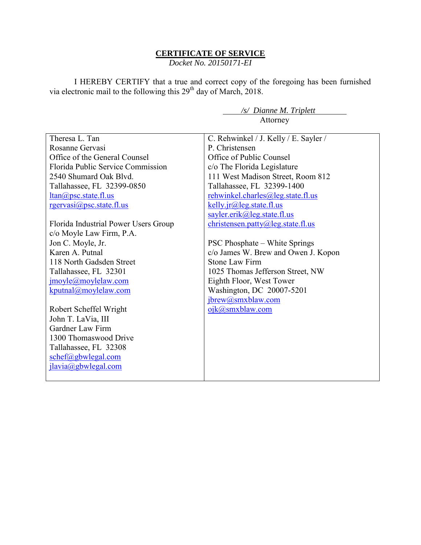### **CERTIFICATE OF SERVICE**

*Docket No. 20150171-EI*

I HEREBY CERTIFY that a true and correct copy of the foregoing has been furnished via electronic mail to the following this  $29<sup>th</sup>$  day of March, 2018.

|                                      | /s/ Dianne M. Triplett                |
|--------------------------------------|---------------------------------------|
|                                      | Attorney                              |
|                                      |                                       |
| Theresa L. Tan                       | C. Rehwinkel / J. Kelly / E. Sayler / |
| Rosanne Gervasi                      | P. Christensen                        |
| Office of the General Counsel        | Office of Public Counsel              |
| Florida Public Service Commission    | c/o The Florida Legislature           |
| 2540 Shumard Oak Blvd.               | 111 West Madison Street, Room 812     |
| Tallahassee, FL 32399-0850           | Tallahassee, FL 32399-1400            |
| $ltan(a)$ psc.state.fl.us            | rehwinkel.charles@leg.state.fl.us     |
| $r$ gervasi@psc.state.fl.us          | $kelly$ .jr@leg.state.fl.us           |
|                                      | sayler.erik@leg.state.fl.us           |
| Florida Industrial Power Users Group | $christensen.path(Q)$ leg.state.fl.us |
| c/o Moyle Law Firm, P.A.             |                                       |
| Jon C. Moyle, Jr.                    | <b>PSC Phosphate – White Springs</b>  |
| Karen A. Putnal                      | c/o James W. Brew and Owen J. Kopon   |
| 118 North Gadsden Street             | Stone Law Firm                        |
| Tallahassee, FL 32301                | 1025 Thomas Jefferson Street, NW      |
| jmoyle@moylelaw.com                  | Eighth Floor, West Tower              |
| kputnal@movlelaw.com                 | Washington, DC 20007-5201             |
|                                      | jbrew@smxblaw.com                     |
| Robert Scheffel Wright               | ojk@smxblaw.com                       |
| John T. LaVia, III                   |                                       |
| Gardner Law Firm                     |                                       |
| 1300 Thomaswood Drive                |                                       |
| Tallahassee, FL 32308                |                                       |
| schef@gbwlegal.com                   |                                       |
| ilavia@gbwlegal.com                  |                                       |
|                                      |                                       |